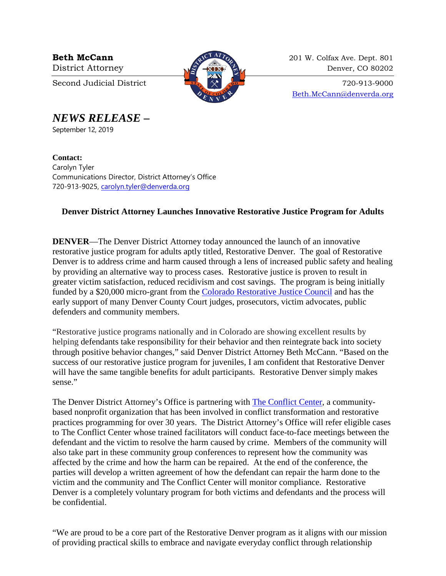

**Beth McCann** 201 W. Colfax Ave. Dept. 801 District Attorney 22 and 220 Denver, CO 80202

Second Judicial District  $\begin{array}{c} \boxed{37} \\ \boxed{37} \end{array}$   $\begin{array}{c} \times \\ \times \end{array}$   $\begin{array}{c} \bullet \end{array}$  720-913-9000 [Beth.McCann@denverda.org](mailto:Beth.McCann@denverda.org)

*NEWS RELEASE* **–**

September 12, 2019

**Contact:**  Carolyn Tyler Communications Director, District Attorney's Office 720-913-9025, [carolyn.tyler@denverda.org](mailto:carolyn.tyler@denverda.org)

## **Denver District Attorney Launches Innovative Restorative Justice Program for Adults**

**DENVER**—The Denver District Attorney today announced the launch of an innovative restorative justice program for adults aptly titled, Restorative Denver. The goal of Restorative Denver is to address crime and harm caused through a lens of increased public safety and healing by providing an alternative way to process cases. Restorative justice is proven to result in greater victim satisfaction, reduced recidivism and cost savings. The program is being initially funded by a \$20,000 micro-grant from the [Colorado Restorative Justice Council](https://www.rjcolorado.org/about-us/restorative-justice-coucil/) and has the early support of many Denver County Court judges, prosecutors, victim advocates, public defenders and community members.

"Restorative justice programs nationally and in Colorado are showing excellent results by helping defendants take responsibility for their behavior and then reintegrate back into society through positive behavior changes," said Denver District Attorney Beth McCann. "Based on the success of our restorative justice program for juveniles, I am confident that Restorative Denver will have the same tangible benefits for adult participants. Restorative Denver simply makes sense."

The Denver District Attorney's Office is partnering with [The Conflict Center,](https://conflictcenter.org/) a communitybased nonprofit organization that has been involved in conflict transformation and restorative practices programming for over 30 years. The District Attorney's Office will refer eligible cases to The Conflict Center whose trained facilitators will conduct face-to-face meetings between the defendant and the victim to resolve the harm caused by crime. Members of the community will also take part in these community group conferences to represent how the community was affected by the crime and how the harm can be repaired. At the end of the conference, the parties will develop a written agreement of how the defendant can repair the harm done to the victim and the community and The Conflict Center will monitor compliance. Restorative Denver is a completely voluntary program for both victims and defendants and the process will be confidential.

"We are proud to be a core part of the Restorative Denver program as it aligns with our mission of providing practical skills to embrace and navigate everyday conflict through relationship